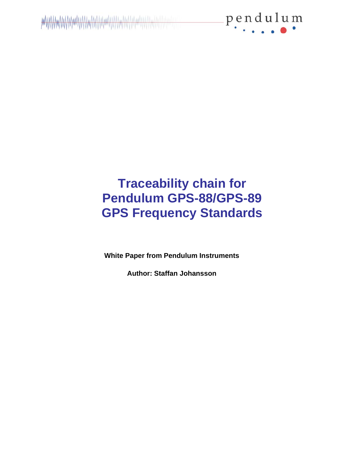

## **Traceability chain for Pendulum GPS-88/GPS-89 GPS Frequency Standards**

**White Paper from Pendulum Instruments**

**Author: Staffan Johansson**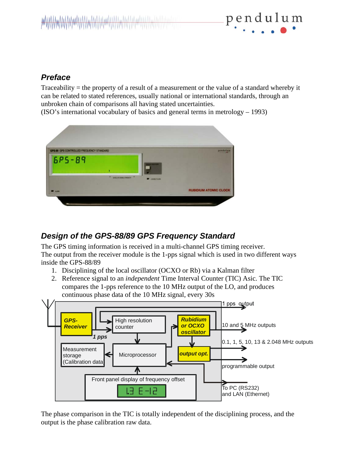

#### *Preface*

Traceability = the property of a result of a measurement or the value of a standard whereby it can be related to stated references, usually national or international standards, through an unbroken chain of comparisons all having stated uncertainties.

(ISO's international vocabulary of basics and general terms in metrology – 1993)



## *Design of the GPS-88/89 GPS Frequency Standard*

The GPS timing information is received in a multi-channel GPS timing receiver. The output from the receiver module is the 1-pps signal which is used in two different ways inside the GPS-88/89

- 1. Disciplining of the local oscillator (OCXO or Rb) via a Kalman filter
- 2. Reference signal to an *independent* Time Interval Counter (TIC) Asic. The TIC compares the 1-pps reference to the 10 MHz output of the LO, and produces continuous phase data of the 10 MHz signal, every 30s



The phase comparison in the TIC is totally independent of the disciplining process, and the output is the phase calibration raw data.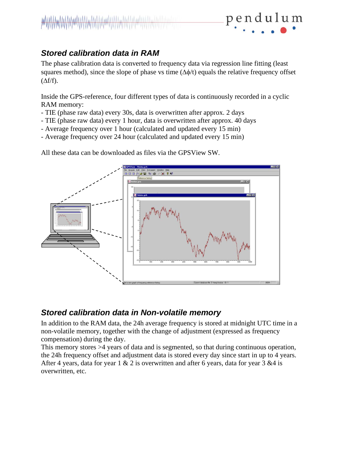## *Stored calibration data in RAM*

The phase calibration data is converted to frequency data via regression line fitting (least squares method), since the slope of phase vs time  $(\Delta \phi/t)$  equals the relative frequency offset  $(\Delta f/f)$ .

pendulum

Inside the GPS-reference, four different types of data is continuously recorded in a cyclic RAM memory:

- TIE (phase raw data) every 30s, data is overwritten after approx. 2 days
- TIE (phase raw data) every 1 hour, data is overwritten after approx. 40 days
- Average frequency over 1 hour (calculated and updated every 15 min)
- Average frequency over 24 hour (calculated and updated every 15 min)

All these data can be downloaded as files via the GPSView SW.



#### *Stored calibration data in Non-volatile memory*

In addition to the RAM data, the 24h average frequency is stored at midnight UTC time in a non-volatile memory, together with the change of adjustment (expressed as frequency compensation) during the day.

This memory stores >4 years of data and is segmented, so that during continuous operation, the 24h frequency offset and adjustment data is stored every day since start in up to 4 years. After 4 years, data for year  $1 \& 2$  is overwritten and after 6 years, data for year  $3 \& 4$  is overwritten, etc.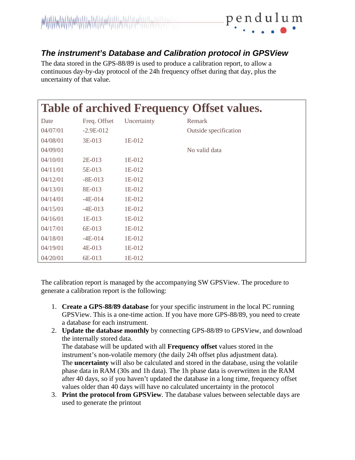

#### *The instrument's Database and Calibration protocol in GPSView*

The data stored in the GPS-88/89 is used to produce a calibration report, to allow a continuous day-by-day protocol of the 24h frequency offset during that day, plus the uncertainty of that value.

| <b>Table of archived Frequency Offset values.</b> |              |             |                       |
|---------------------------------------------------|--------------|-------------|-----------------------|
| Date                                              | Freq. Offset | Uncertainty | Remark                |
| 04/07/01                                          | $-2.9E-012$  |             | Outside specification |
| 04/08/01                                          | 3E-013       | 1E-012      |                       |
| 04/09/01                                          |              |             | No valid data         |
| 04/10/01                                          | 2E-013       | 1E-012      |                       |
| 04/11/01                                          | 5E-013       | 1E-012      |                       |
| 04/12/01                                          | $-8E-013$    | 1E-012      |                       |
| 04/13/01                                          | 8E-013       | 1E-012      |                       |
| 04/14/01                                          | $-4E-014$    | 1E-012      |                       |
| 04/15/01                                          | $-4E-013$    | 1E-012      |                       |
| 04/16/01                                          | 1E-013       | 1E-012      |                       |
| 04/17/01                                          | 6E-013       | 1E-012      |                       |
| 04/18/01                                          | $-4E-014$    | 1E-012      |                       |
| 04/19/01                                          | $4E-013$     | 1E-012      |                       |
| 04/20/01                                          | 6E-013       | 1E-012      |                       |

The calibration report is managed by the accompanying SW GPSView. The procedure to generate a calibration report is the following:

- 1. **Create a GPS-88/89 database** for your specific instrument in the local PC running GPSView. This is a one-time action. If you have more GPS-88/89, you need to create a database for each instrument.
- 2. **Update the database monthly** by connecting GPS-88/89 to GPSView, and download the internally stored data.

The database will be updated with all **Frequency offset** values stored in the instrument's non-volatile memory (the daily 24h offset plus adjustment data). The **uncertainty** will also be calculated and stored in the database, using the volatile phase data in RAM (30s and 1h data). The 1h phase data is overwritten in the RAM after 40 days, so if you haven't updated the database in a long time, frequency offset values older than 40 days will have no calculated uncertainty in the protocol

3. **Print the protocol from GPSView**. The database values between selectable days are used to generate the printout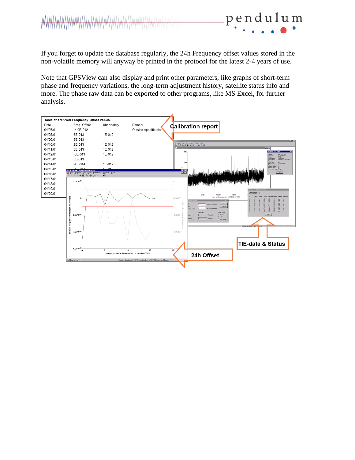# **WWW.MWWWWWWWWWWWWWWWWWWWWWWWWWWWWWWWW**

If you forget to update the database regularly, the 24h Frequency offset values stored in the non-volatile memory will anyway be printed in the protocol for the latest 2-4 years of use.

pendulum

Note that GPSView can also display and print other parameters, like graphs of short-term phase and frequency variations, the long-term adjustment history, satellite status info and more. The phase raw data can be exported to other programs, like MS Excel, for further analysis.

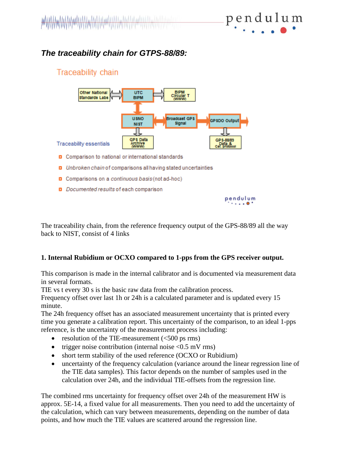## *The traceability chain for GTPS-88/89:*

#### Traceability chain



- D Comparison to national or international standards
- D Unbroken chain of comparisons all having stated uncertainties
- D Comparisons on a continuous basis (not ad-hoc)
- D Documented results of each comparison



The traceability chain, from the reference frequency output of the GPS-88/89 all the way back to NIST, consist of 4 links

#### **1. Internal Rubidium or OCXO compared to 1-pps from the GPS receiver output.**

This comparison is made in the internal calibrator and is documented via measurement data in several formats.

TIE vs t every 30 s is the basic raw data from the calibration process.

Frequency offset over last 1h or 24h is a calculated parameter and is updated every 15 minute.

The 24h frequency offset has an associated measurement uncertainty that is printed every time you generate a calibration report. This uncertainty of the comparison, to an ideal 1-pps reference, is the uncertainty of the measurement process including:

- resolution of the TIE-measurement  $(<500 \text{ ps rms})$
- trigger noise contribution (internal noise  $\langle 0.5 \text{ mV} \rangle$
- short term stability of the used reference (OCXO or Rubidium)
- uncertainty of the frequency calculation (variance around the linear regression line of the TIE data samples). This factor depends on the number of samples used in the calculation over 24h, and the individual TIE-offsets from the regression line.

The combined rms uncertainty for frequency offset over 24h of the measurement HW is approx. 5E-14, a fixed value for all measurements. Then you need to add the uncertainty of the calculation, which can vary between measurements, depending on the number of data points, and how much the TIE values are scattered around the regression line.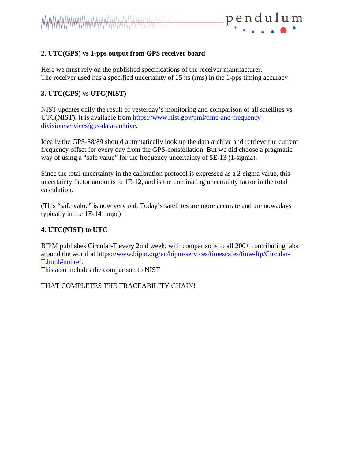

#### **2. UTC(GPS) vs 1-pps output from GPS receiver board**

Here we must rely on the published specifications of the receiver manufacturer. The receiver used has a specified uncertainty of 15 ns (rms) in the 1-pps timing accuracy

#### **3. UTC(GPS) vs UTC(NIST)**

NIST updates daily the result of yesterday's monitoring and comparison of all satellites vs UTC(NIST). It is available from [https://www.nist.gov/pml/time-and-frequency](https://www.nist.gov/pml/time-and-frequency-division/services/gps-data-archive)[division/services/gps-data-archive.](https://www.nist.gov/pml/time-and-frequency-division/services/gps-data-archive)

Ideally the GPS-88/89 should automatically look up the data archive and retrieve the current frequency offset for every day from the GPS-constellation. But we did choose a pragmatic way of using a "safe value" for the frequency uncertainty of 5E-13 (1-sigma).

Since the total uncertainty in the calibration protocol is expressed as a 2-sigma value, this uncertainty factor amounts to 1E-12, and is the dominating uncertainty factor in the total calculation.

(This "safe value" is now very old. Today's satellites are more accurate and are nowadays typically in the 1E-14 range)

#### **4. UTC(NIST) to UTC**

BIPM publishes Circular-T every 2:nd week, with comparisons to all 200+ contributing labs around the world at [https://www.bipm.org/en/bipm-services/timescales/time-ftp/Circular-](https://www.bipm.org/en/bipm-services/timescales/time-ftp/Circular-T.html#nohref)[T.html#nohref.](https://www.bipm.org/en/bipm-services/timescales/time-ftp/Circular-T.html#nohref)

This also includes the comparison to NIST

THAT COMPLETES THE TRACEABILITY CHAIN!